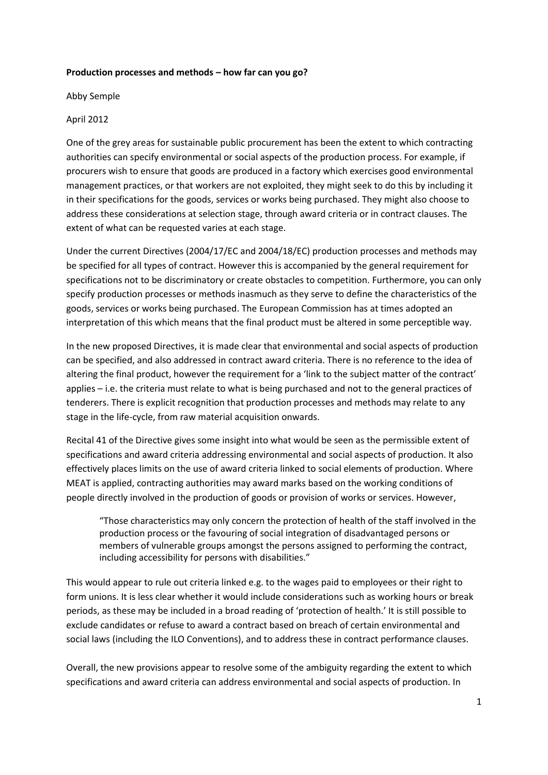## **Production processes and methods – how far can you go?**

Abby Semple

## April 2012

One of the grey areas for sustainable public procurement has been the extent to which contracting authorities can specify environmental or social aspects of the production process. For example, if procurers wish to ensure that goods are produced in a factory which exercises good environmental management practices, or that workers are not exploited, they might seek to do this by including it in their specifications for the goods, services or works being purchased. They might also choose to address these considerations at selection stage, through award criteria or in contract clauses. The extent of what can be requested varies at each stage.

Under the current Directives (2004/17/EC and 2004/18/EC) production processes and methods may be specified for all types of contract. However this is accompanied by the general requirement for specifications not to be discriminatory or create obstacles to competition. Furthermore, you can only specify production processes or methods inasmuch as they serve to define the characteristics of the goods, services or works being purchased. The European Commission has at times adopted an interpretation of this which means that the final product must be altered in some perceptible way.

In the new proposed Directives, it is made clear that environmental and social aspects of production can be specified, and also addressed in contract award criteria. There is no reference to the idea of altering the final product, however the requirement for a 'link to the subject matter of the contract' applies – i.e. the criteria must relate to what is being purchased and not to the general practices of tenderers. There is explicit recognition that production processes and methods may relate to any stage in the life-cycle, from raw material acquisition onwards.

Recital 41 of the Directive gives some insight into what would be seen as the permissible extent of specifications and award criteria addressing environmental and social aspects of production. It also effectively places limits on the use of award criteria linked to social elements of production. Where MEAT is applied, contracting authorities may award marks based on the working conditions of people directly involved in the production of goods or provision of works or services. However,

"Those characteristics may only concern the protection of health of the staff involved in the production process or the favouring of social integration of disadvantaged persons or members of vulnerable groups amongst the persons assigned to performing the contract, including accessibility for persons with disabilities."

This would appear to rule out criteria linked e.g. to the wages paid to employees or their right to form unions. It is less clear whether it would include considerations such as working hours or break periods, as these may be included in a broad reading of 'protection of health.' It is still possible to exclude candidates or refuse to award a contract based on breach of certain environmental and social laws (including the ILO Conventions), and to address these in contract performance clauses.

Overall, the new provisions appear to resolve some of the ambiguity regarding the extent to which specifications and award criteria can address environmental and social aspects of production. In